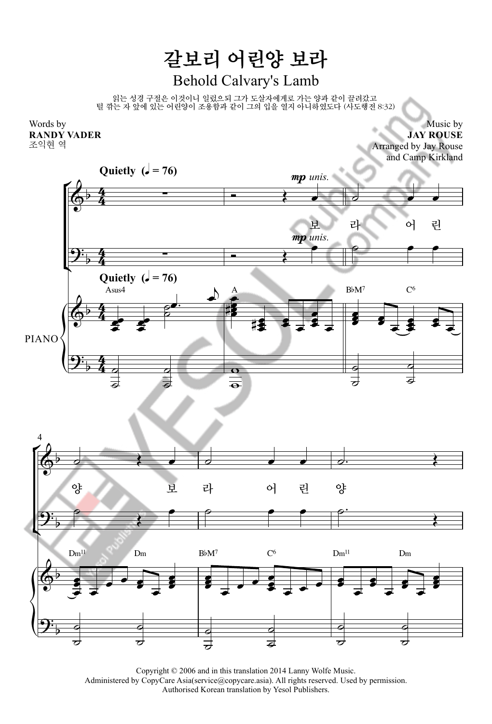## 갈보리 어린양 보라 Behold Calvary's Lamb

읽는 성경 구절은 이것이니 일렀으되 그가 도살자에게로 가는 양과 같이 끌려갔고 털 깎는 자 앞에 있는 어린양이 조용함과 같이 그의 입을 열지 아니하였도다 (사도행전 8:32)



Music by **JAY ROUSE** Arranged by Jay Rouse and Camp Kirkland



Copyright © 2006 and in this translation 2014 Lanny Wolfe Music. Administered by CopyCare Asia(service@copycare.asia). All rights reserved. Used by permission. Authorised Korean translation by Yesol Publishers.